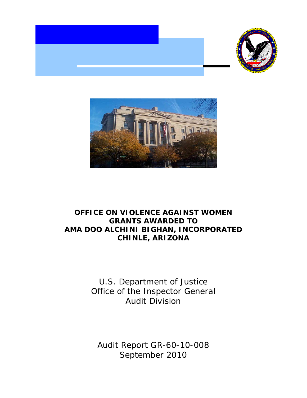



# **OFFICE ON VIOLENCE AGAINST WOMEN GRANTS AWARDED TO AMA DOO ALCHINI BIGHAN, INCORPORATED CHINLE, ARIZONA**

 Office of the Inspector General U.S. Department of Justice Audit Division

 Audit Report GR-60-10-008 September 2010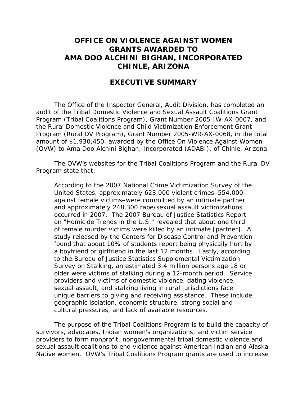# **OFFICE ON VIOLENCE AGAINST WOMEN GRANTS AWARDED TO AMA DOO ALCHINI BIGHAN, INCORPORATED CHINLE, ARIZONA**

# **EXECUTIVE SUMMARY**

The Office of the Inspector General, Audit Division, has completed an audit of the Tribal Domestic Violence and Sexual Assault Coalitions Grant Program (Tribal Coalitions Program), Grant Number 2005-IW-AX-0007, and the Rural Domestic Violence and Child Victimization Enforcement Grant Program (Rural DV Program), Grant Number 2005-WR-AX-0068, in the total amount of \$1,930,450, awarded by the Office On Violence Against Women (OVW) to Ama Doo Alchini Bighan, Incorporated (ADABI), of Chinle, Arizona.

The OVW's websites for the Tribal Coalitions Program and the Rural DV Program state that:

 According to the 2007 National Crime Victimization Survey of the found that about 10% of students report being physically hurt by sexual assault, and stalking living in rural jurisdictions face United States, approximately 623,000 violent crimes–554,000 against female victims–were committed by an intimate partner and approximately 248,300 rape/sexual assault victimizations occurred in 2007. The 2007 Bureau of Justice Statistics Report on "Homicide Trends in the U.S." revealed that about one third of female murder victims were killed by an intimate [partner]. A study released by the Centers for Disease Control and Prevention a boyfriend or girlfriend in the last 12 months. Lastly, according to the Bureau of Justice Statistics Supplemental Victimization Survey on Stalking, an estimated 3.4 million persons age 18 or older were victims of stalking during a 12-month period. Service providers and victims of domestic violence, dating violence, unique barriers to giving and receiving assistance. These include geographic isolation, economic structure, strong social and cultural pressures, and lack of available resources.

The purpose of the Tribal Coalitions Program is to build the capacity of survivors, advocates, Indian women's organizations, and victim service providers to form nonprofit, nongovernmental tribal domestic violence and sexual assault coalitions to end violence against American Indian and Alaska Native women. OVW's Tribal Coalitions Program grants are used to increase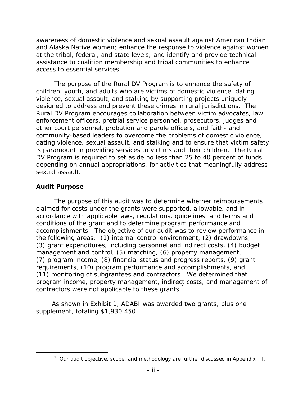awareness of domestic violence and sexual assault against American Indian and Alaska Native women; enhance the response to violence against women at the tribal, federal, and state levels; and identify and provide technical assistance to coalition membership and tribal communities to enhance access to essential services.

 Rural DV Program encourages collaboration between victim advocates, law is paramount in providing services to victims and their children. The Rural depending on annual appropriations, for activities that meaningfully address The purpose of the Rural DV Program is to enhance the safety of children, youth, and adults who are victims of domestic violence, dating violence, sexual assault, and stalking by supporting projects uniquely designed to address and prevent these crimes in rural jurisdictions. The enforcement officers, pretrial service personnel, prosecutors, judges and other court personnel, probation and parole officers, and faith- and community-based leaders to overcome the problems of domestic violence, dating violence, sexual assault, and stalking and to ensure that victim safety DV Program is required to set aside no less than 25 to 40 percent of funds, sexual assault.

# **Audit Purpose**

<span id="page-2-0"></span>-

 accomplishments. The objective of our audit was to review performance in the following areas: (1) internal control environment, (2) drawdowns, (11) monitoring of subgrantees and contractors. We determined that The purpose of this audit was to determine whether reimbursements claimed for costs under the grants were supported, allowable, and in accordance with applicable laws, regulations, guidelines, and terms and conditions of the grant and to determine program performance and (3) grant expenditures, including personnel and indirect costs, (4) budget management and control, (5) matching, (6) property management, (7) program income, (8) financial status and progress reports, (9) grant requirements, (10) program performance and accomplishments, and program income, property management, indirect costs, and management of contractors were not applicable to these grants.<sup>[1](#page-2-0)</sup>

 As shown in Exhibit 1, ADABI was awarded two grants, plus one supplement, totaling \$1,930,450.

 $1$  Our audit objective, scope, and methodology are further discussed in Appendix III.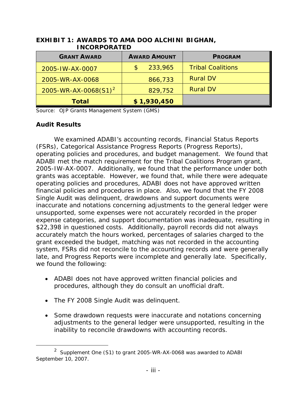| .                                |                     |             |                          |  |  |
|----------------------------------|---------------------|-------------|--------------------------|--|--|
| <b>GRANT AWARD</b>               | <b>AWARD AMOUNT</b> |             | <b>PROGRAM</b>           |  |  |
| 2005-IW-AX-0007                  | $\mathbb{S}$        | 233,965     | <b>Tribal Coalitions</b> |  |  |
| 2005-WR-AX-0068                  |                     | 866,733     | <b>Rural DV</b>          |  |  |
| 2005-WR-AX-0068(S1) <sup>2</sup> |                     | 829,752     | <b>Rural DV</b>          |  |  |
| <b>Total</b>                     |                     | \$1,930,450 |                          |  |  |

## **EXHIBIT 1: AWARDS TO AMA DOO ALCHINI BIGHAN, INCORPORATED**

Source: OJP Grants Management System (GMS)

# **Audit Results**

-

 We examined ADABI's accounting records, Financial Status Reports (FSRs), Categorical Assistance Progress Reports (Progress Reports), operating policies and procedures, and budget management. We found that ADABI met the match requirement for the Tribal Coalitions Program grant, 2005-IW-AX-0007. Additionally, we found that the performance under both grants was acceptable. However, we found that, while there were adequate operating policies and procedures, ADABI does not have approved written financial policies and procedures in place. Also, we found that the FY 2008 Single Audit was delinquent, drawdowns and support documents were inaccurate and notations concerning adjustments to the general ledger were unsupported, some expenses were not accurately recorded in the proper expense categories, and support documentation was inadequate, resulting in \$22,398 in questioned costs. Additionally, payroll records did not always accurately match the hours worked, percentages of salaries charged to the grant exceeded the budget, matching was not recorded in the accounting system, FSRs did not reconcile to the accounting records and were generally late, and Progress Reports were incomplete and generally late. Specifically, we found the following:

- ADABI does not have approved written financial policies and procedures, although they do consult an unofficial draft.
- The FY 2008 Single Audit was delinquent.
- adjustments to the general ledger were unsupported, resulting in the • Some drawdown requests were inaccurate and notations concerning inability to reconcile drawdowns with accounting records.

<span id="page-3-0"></span><sup>2</sup> Supplement One (S1) to grant 2005-WR-AX-0068 was awarded to ADABI September 10, 2007.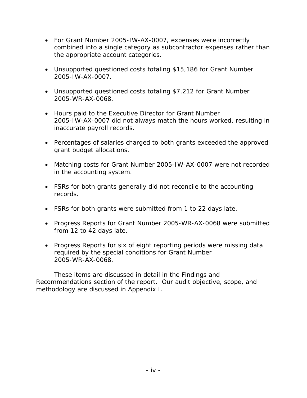- For Grant Number 2005-IW-AX-0007, expenses were incorrectly combined into a single category as subcontractor expenses rather than the appropriate account categories.
- Unsupported questioned costs totaling \$15,186 for Grant Number 2005-IW-AX-0007.
- Unsupported questioned costs totaling \$7,212 for Grant Number 2005-WR-AX-0068.
- 2005-IW-AX-0007 did not always match the hours worked, resulting in • Hours paid to the Executive Director for Grant Number inaccurate payroll records.
- Percentages of salaries charged to both grants exceeded the approved grant budget allocations.
- Matching costs for Grant Number 2005-IW-AX-0007 were not recorded in the accounting system.
- FSRs for both grants generally did not reconcile to the accounting records.
- FSRs for both grants were submitted from 1 to 22 days late.
- from 12 to 42 days late. • Progress Reports for Grant Number 2005-WR-AX-0068 were submitted
- Progress Reports for six of eight reporting periods were missing data required by the special conditions for Grant Number 2005-WR-AX-0068.

These items are discussed in detail in the Findings and Recommendations section of the report. Our audit objective, scope, and methodology are discussed in Appendix I.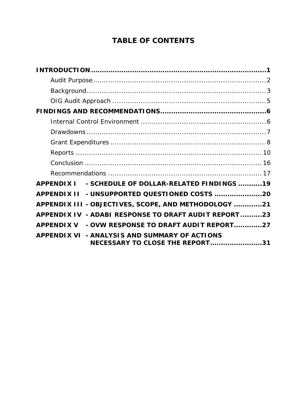# **TABLE OF CONTENTS**

| - SCHEDULE OF DOLLAR-RELATED FINDINGS 19<br><b>APPENDIX I</b>                    |
|----------------------------------------------------------------------------------|
| - UNSUPPORTED QUESTIONED COSTS 20<br><b>APPENDIX II</b>                          |
| APPENDIX III - OBJECTIVES, SCOPE, AND METHODOLOGY 21                             |
| APPENDIX IV - ADABI RESPONSE TO DRAFT AUDIT REPORT23                             |
| - OVW RESPONSE TO DRAFT AUDIT REPORT27<br><b>APPENDIX V</b>                      |
| APPENDIX VI - ANALYSIS AND SUMMARY OF ACTIONS<br>NECESSARY TO CLOSE THE REPORT31 |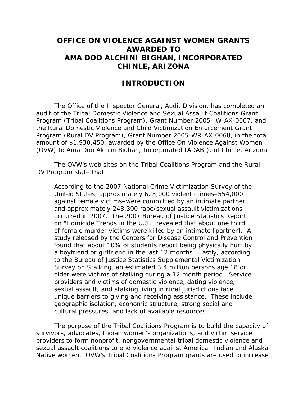# **OFFICE ON VIOLENCE AGAINST WOMEN GRANTS AWARDED TO AMA DOO ALCHINI BIGHAN, INCORPORATED CHINLE, ARIZONA**

# **INTRODUCTION**

 audit of the Tribal Domestic Violence and Sexual Assault Coalitions Grant (OVW) to Ama Doo Alchini Bighan, Incorporated (ADABI), of Chinle, Arizona. The Office of the Inspector General, Audit Division, has completed an Program (Tribal Coalitions Program), Grant Number 2005-IW-AX-0007, and the Rural Domestic Violence and Child Victimization Enforcement Grant Program (Rural DV Program), Grant Number 2005-WR-AX-0068, in the total amount of \$1,930,450, awarded by the Office On Violence Against Women

The OVW's web sites on the Tribal Coalitions Program and the Rural DV Program state that:

 According to the 2007 National Crime Victimization Survey of the found that about 10% of students report being physically hurt by sexual assault, and stalking living in rural jurisdictions face United States, approximately 623,000 violent crimes–554,000 against female victims–were committed by an intimate partner and approximately 248,300 rape/sexual assault victimizations occurred in 2007. The 2007 Bureau of Justice Statistics Report on "Homicide Trends in the U.S." revealed that about one third of female murder victims were killed by an intimate [partner]. A study released by the Centers for Disease Control and Prevention a boyfriend or girlfriend in the last 12 months. Lastly, according to the Bureau of Justice Statistics Supplemental Victimization Survey on Stalking, an estimated 3.4 million persons age 18 or older were victims of stalking during a 12 month period. Service providers and victims of domestic violence, dating violence, unique barriers to giving and receiving assistance. These include geographic isolation, economic structure, strong social and cultural pressures, and lack of available resources.

The purpose of the Tribal Coalitions Program is to build the capacity of survivors, advocates, Indian women's organizations, and victim service providers to form nonprofit, nongovernmental tribal domestic violence and sexual assault coalitions to end violence against American Indian and Alaska Native women. OVW's Tribal Coalitions Program grants are used to increase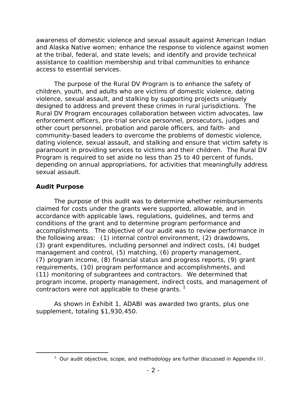awareness of domestic violence and sexual assault against American Indian and Alaska Native women; enhance the response to violence against women at the tribal, federal, and state levels; and identify and provide technical assistance to coalition membership and tribal communities to enhance access to essential services.

 Rural DV Program encourages collaboration between victim advocates, law depending on annual appropriations, for activities that meaningfully address The purpose of the Rural DV Program is to enhance the safety of children, youth, and adults who are victims of domestic violence, dating violence, sexual assault, and stalking by supporting projects uniquely designed to address and prevent these crimes in rural jurisdictions. The enforcement officers, pre-trial service personnel, prosecutors, judges and other court personnel, probation and parole officers, and faith- and community-based leaders to overcome the problems of domestic violence, dating violence, sexual assault, and stalking and ensure that victim safety is paramount in providing services to victims and their children. The Rural DV Program is required to set aside no less than 25 to 40 percent of funds, sexual assault.

# **Audit Purpose**

<span id="page-7-0"></span> $\overline{a}$ 

 accomplishments. The objective of our audit was to review performance in the following areas: (1) internal control environment, (2) drawdowns, (11) monitoring of subgrantees and contractors. We determined that The purpose of this audit was to determine whether reimbursements claimed for costs under the grants were supported, allowable, and in accordance with applicable laws, regulations, guidelines, and terms and conditions of the grant and to determine program performance and (3) grant expenditures, including personnel and indirect costs, (4) budget management and control, (5) matching, (6) property management, (7) program income, (8) financial status and progress reports, (9) grant requirements, (10) program performance and accomplishments, and program income, property management, indirect costs, and management of contractors were not applicable to these grants.  $1$ 

 supplement, totaling \$1,930,450. As shown in Exhibit 1, ADABI was awarded two grants, plus one

 $1$  Our audit objective, scope, and methodology are further discussed in Appendix III.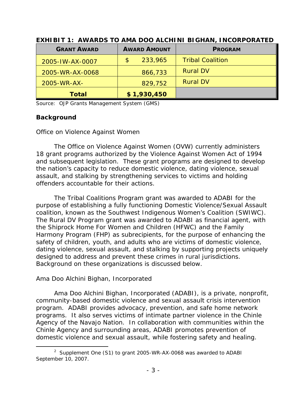| <b>GRANT AWARD</b> | <b>AWARD AMOUNT</b> | <b>PROGRAM</b>          |  |
|--------------------|---------------------|-------------------------|--|
| 2005-IW-AX-0007    | 233,965<br>\$       | <b>Tribal Coalition</b> |  |
| 2005-WR-AX-0068    | 866,733             | <b>Rural DV</b>         |  |
| 2005-WR-AX-        | 829,752             | <b>Rural DV</b>         |  |
| <b>Total</b>       | \$1,930,450         |                         |  |

 **EXHIBIT 1: AWARDS TO AMA DOO ALCHINI BIGHAN, INCORPORATED**

Source: OJP Grants Management System (GMS)

### **Background**

### *Office on Violence Against Women*

 18 grant programs authorized by the *Violence Against Women Act of 1994*  The Office on Violence Against Women (OVW) currently administers and subsequent legislation. These grant programs are designed to develop the nation's capacity to reduce domestic violence, dating violence, sexual assault, and stalking by strengthening services to victims and holding offenders accountable for their actions.

 coalition, known as the Southwest Indigenous Women's Coalition (SWIWC). designed to address and prevent these crimes in rural jurisdictions.<br>Background on these organizations is discussed below. The Tribal Coalitions Program grant was awarded to ADABI for the purpose of establishing a fully functioning Domestic Violence/Sexual Assault The Rural DV Program grant was awarded to ADABI as financial agent, with the Shiprock Home For Women and Children (HFWC) and the Family Harmony Program (FHP) as subrecipients, for the purpose of enhancing the safety of children, youth, and adults who are victims of domestic violence, dating violence, sexual assault, and stalking by supporting projects uniquely

### *Ama Doo Alchini Bighan, Incorporated*

 Ama Doo Alchini Bighan, Incorporated (ADABI), is a private, nonprofit, program. ADABI provides advocacy, prevention, and safe home network Agency of the Navajo Nation. In collaboration with communities within the domestic violence and sexual assault, while fostering safety and healing. community-based domestic violence and sexual assault crisis intervention programs. It also serves victims of intimate partner violence in the Chinle Chinle Agency and surrounding areas, ADABI promotes prevention of

<sup>-</sup>2 Supplement One (S1) to grant 2005-WR-AX-0068 was awarded to ADABI September 10, 2007.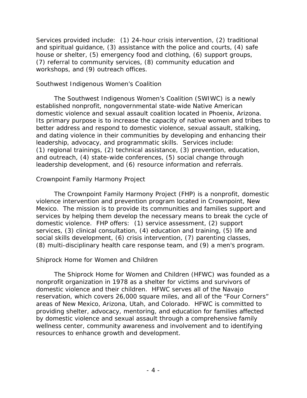Services provided include: (1) 24-hour crisis intervention, (2) traditional and spiritual guidance, (3) assistance with the police and courts, (4) safe house or shelter, (5) emergency food and clothing, (6) support groups, (7) referral to community services, (8) community education and workshops, and (9) outreach offices.

## *Southwest Indigenous Women's Coalition*

leadership, advocacy, and programmatic skills. Services include: The Southwest Indigenous Women's Coalition (SWIWC) is a newly established nonprofit, nongovernmental state-wide Native American domestic violence and sexual assault coalition located in Phoenix, Arizona. Its primary purpose is to increase the capacity of native women and tribes to better address and respond to domestic violence, sexual assault, stalking, and dating violence in their communities by developing and enhancing their (1) regional trainings, (2) technical assistance, (3) prevention, education, and outreach, (4) state-wide conferences, (5) social change through leadership development, and (6) resource information and referrals.

# *Crownpoint Family Harmony Project*

 Mexico. The mission is to provide its communities and families support and domestic violence. FHP offers: (1) service assessment, (2) support (8) multi-disciplinary health care response team, and (9) a men's program. The Crownpoint Family Harmony Project (FHP) is a nonprofit, domestic violence intervention and prevention program located in Crownpoint, New services by helping them develop the necessary means to break the cycle of services, (3) clinical consultation, (4) education and training, (5) life and social skills development, (6) crisis intervention, (7) parenting classes,

### *Shiprock Home for Women and Children*

 reservation, which covers 26,000 square miles, and all of the "Four Corners" areas of New Mexico, Arizona, Utah, and Colorado. HFWC is committed to The Shiprock Home for Women and Children (HFWC) was founded as a nonprofit organization in 1978 as a shelter for victims and survivors of domestic violence and their children. HFWC serves all of the Navajo providing shelter, advocacy, mentoring, and education for families affected by domestic violence and sexual assault through a comprehensive family wellness center, community awareness and involvement and to identifying resources to enhance growth and development.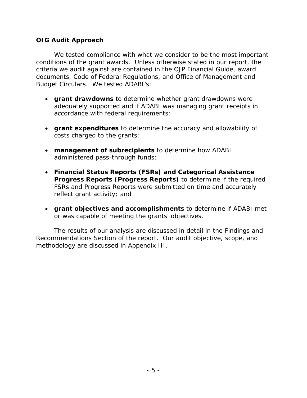# **OIG Audit Approach**

 criteria we audit against are contained in the *OJP Financial Guide*, award We tested compliance with what we consider to be the most important conditions of the grant awards. Unless otherwise stated in our report, the documents, Code of Federal Regulations, and Office of Management and Budget Circulars. We tested ADABI's:

- **grant drawdowns** to determine whether grant drawdowns were adequately supported and if ADABI was managing grant receipts in accordance with federal requirements;
- • **grant expenditures** to determine the accuracy and allowability of costs charged to the grants;
- administered pass-through funds; • **management of subrecipients** to determine how ADABI
- FSRs and Progress Reports were submitted on time and accurately reflect grant activity; and • **Financial Status Reports (FSRs) and Categorical Assistance Progress Reports (Progress Reports)** to determine if the required
- • **grant objectives and accomplishments** to determine if ADABI met or was capable of meeting the grants' objectives.

 The results of our analysis are discussed in detail in the Findings and Recommendations Section of the report. Our audit objective, scope, and methodology are discussed in Appendix III.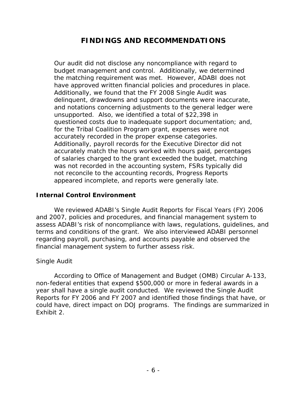# **FINDINGS AND RECOMMENDATIONS**

 budget management and control. Additionally, we determined the matching requirement was met. However, ADABI does not have approved written financial policies and procedures in place. Our audit did not disclose any noncompliance with regard to Additionally, we found that the FY 2008 Single Audit was delinquent, drawdowns and support documents were inaccurate, and notations concerning adjustments to the general ledger were unsupported. Also, we identified a total of \$22,398 in questioned costs due to inadequate support documentation; and, for the Tribal Coalition Program grant, expenses were not accurately recorded in the proper expense categories. Additionally, payroll records for the Executive Director did not accurately match the hours worked with hours paid, percentages of salaries charged to the grant exceeded the budget, matching was not recorded in the accounting system, FSRs typically did not reconcile to the accounting records, Progress Reports appeared incomplete, and reports were generally late.

### **Internal Control Environment**

 terms and conditions of the grant. We also interviewed ADABI personnel We reviewed ADABI's Single Audit Reports for Fiscal Years (FY) 2006 and 2007, policies and procedures, and financial management system to assess ADABI's risk of noncompliance with laws, regulations, guidelines, and regarding payroll, purchasing, and accounts payable and observed the financial management system to further assess risk.

### *Single Audit*

 year shall have a single audit conducted. We reviewed the Single Audit According to Office of Management and Budget (OMB) Circular A-133, non-federal entities that expend \$500,000 or more in federal awards in a Reports for FY 2006 and FY 2007 and identified those findings that have, or could have, direct impact on DOJ programs. The findings are summarized in Exhibit 2.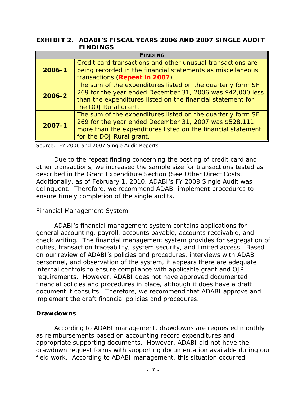## **EXHIBIT 2. ADABI'S FISCAL YEARS 2006 AND 2007 SINGLE AUDIT FINDINGS**

|            | <b>FINDING</b>                                               |  |  |  |  |
|------------|--------------------------------------------------------------|--|--|--|--|
|            | Credit card transactions and other unusual transactions are  |  |  |  |  |
| $2006 - 1$ | being recorded in the financial statements as miscellaneous  |  |  |  |  |
|            | transactions (Repeat in 2007).                               |  |  |  |  |
|            | The sum of the expenditures listed on the quarterly form SF  |  |  |  |  |
| 2006-2     | 269 for the year ended December 31, 2006 was \$42,000 less   |  |  |  |  |
|            | than the expenditures listed on the financial statement for  |  |  |  |  |
|            | the DOJ Rural grant.                                         |  |  |  |  |
|            | The sum of the expenditures listed on the quarterly form SF  |  |  |  |  |
|            | 269 for the year ended December 31, 2007 was \$528,111       |  |  |  |  |
| $2007 - 1$ | more than the expenditures listed on the financial statement |  |  |  |  |
|            | for the DOJ Rural grant.                                     |  |  |  |  |

Source: FY 2006 and 2007 Single Audit Reports

described in the Grant Expenditure Section (See Other Direct Costs. Due to the repeat finding concerning the posting of credit card and other transactions, we increased the sample size for transactions tested as Additionally, as of February 1, 2010, ADABI's FY 2008 Single Audit was delinquent. Therefore, we recommend ADABI implement procedures to ensure timely completion of the single audits.

# *Financial Management System*

 check writing. The financial management system provides for segregation of duties, transaction traceability, system security, and limited access. Based requirements. However, ADABI does not have approved documented ADABI's financial management system contains applications for general accounting, payroll, accounts payable, accounts receivable, and on our review of ADABI's policies and procedures, interviews with ADABI personnel, and observation of the system, it appears there are adequate internal controls to ensure compliance with applicable grant and OJP financial policies and procedures in place, although it does have a draft document it consults. Therefore, we recommend that ADABI approve and implement the draft financial policies and procedures.

## **Drawdowns**

 field work. According to ADABI management, this situation occurred According to ADABI management, drawdowns are requested monthly as reimbursements based on accounting record expenditures and appropriate supporting documents. However, ADABI did not have the drawdown request forms with supporting documentation available during our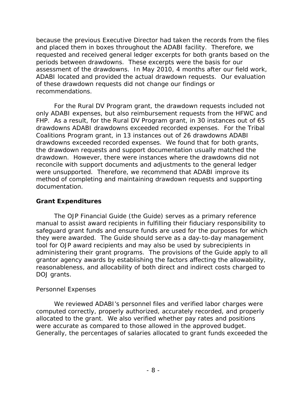periods between drawdowns. These excerpts were the basis for our assessment of the drawdowns. In May 2010, 4 months after our field work, ADABI located and provided the actual drawdown requests. Our evaluation because the previous Executive Director had taken the records from the files and placed them in boxes throughout the ADABI facility. Therefore, we requested and received general ledger excerpts for both grants based on the of these drawdown requests did not change our findings or recommendations.

 FHP. As a result, for the Rural DV Program grant, in 30 instances out of 65 drawdowns ADABI drawdowns exceeded recorded expenses. For the Tribal Coalitions Program grant, in 13 instances out of 26 drawdowns ADABI drawdowns exceeded recorded expenses. We found that for both grants, For the Rural DV Program grant, the drawdown requests included not only ADABI expenses, but also reimbursement requests from the HFWC and the drawdown requests and support documentation usually matched the drawdown. However, there were instances where the drawdowns did not reconcile with support documents and adjustments to the general ledger were unsupported. Therefore, we recommend that ADABI improve its method of completing and maintaining drawdown requests and supporting documentation.

## **Grant Expenditures**

The *OJP Financial Guide* (the Guide) serves as a primary reference manual to assist award recipients in fulfilling their fiduciary responsibility to safeguard grant funds and ensure funds are used for the purposes for which they were awarded. The Guide should serve as a day-to-day management tool for OJP award recipients and may also be used by subrecipients in administering their grant programs. The provisions of the Guide apply to all grantor agency awards by establishing the factors affecting the allowability, reasonableness, and allocability of both direct and indirect costs charged to DOJ grants.

## *Personnel Expenses*

We reviewed ADABI's personnel files and verified labor charges were computed correctly, properly authorized, accurately recorded, and properly allocated to the grant. We also verified whether pay rates and positions were accurate as compared to those allowed in the approved budget. Generally, the percentages of salaries allocated to grant funds exceeded the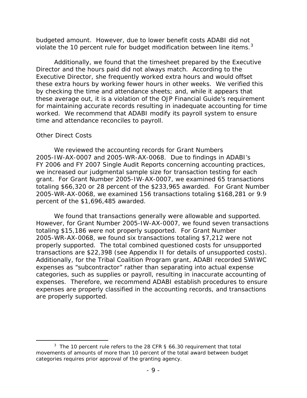budgeted amount. However, due to lower benefit costs ADABI did not violate the 10 percent rule for budget modification between line items.<sup>[3](#page-14-0)</sup>

 Director and the hours paid did not always match. According to the Executive Director, she frequently worked extra hours and would offset by checking the time and attendance sheets; and, while it appears that these average out, it is a violation of the *OJP Financial Guide's* requirement Additionally, we found that the timesheet prepared by the Executive these extra hours by working fewer hours in other weeks. We verified this for maintaining accurate records resulting in inadequate accounting for time worked. We recommend that ADABI modify its payroll system to ensure time and attendance reconciles to payroll.

### *Other Direct Costs*

 grant. For Grant Number 2005-IW-AX-0007, we examined 65 transactions We reviewed the accounting records for Grant Numbers 2005-IW-AX-0007 and 2005-WR-AX-0068. Due to findings in ADABI's FY 2006 and FY 2007 Single Audit Reports concerning accounting practices, we increased our judgmental sample size for transaction testing for each totaling \$66,320 or 28 percent of the \$233,965 awarded. For Grant Number 2005-WR-AX-0068, we examined 156 transactions totaling \$168,281 or 9.9 percent of the \$1,696,485 awarded.

 However, for Grant Number 2005-IW-AX-0007, we found seven transactions transactions are \$22,398 (see Appendix II for details of unsupported costs). expenses. Therefore, we recommend ADABI establish procedures to ensure We found that transactions generally were allowable and supported. totaling \$15,186 were not properly supported. For Grant Number 2005-WR-AX-0068, we found six transactions totaling \$7,212 were not properly supported. The total combined questioned costs for unsupported Additionally, for the Tribal Coalition Program grant, ADABI recorded SWIWC expenses as "subcontractor" rather than separating into actual expense categories, such as supplies or payroll, resulting in inaccurate accounting of expenses are properly classified in the accounting records, and transactions are properly supported.

<span id="page-14-0"></span><sup>-</sup><sup>3</sup> The 10 percent rule refers to the 28 CFR § 66.30 requirement that total movements of amounts of more than 10 percent of the total award between budget categories requires prior approval of the granting agency.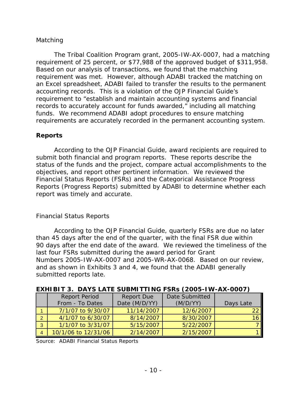# *Matching*

requirement of 25 percent, or \$77,988 of the approved budget of \$311,958.<br>Based on our analysis of transactions, we found that the matching accounting records. This is a violation of the *OJP Financial Guide's*  funds. We recommend ADABI adopt procedures to ensure matching The Tribal Coalition Program grant, 2005-IW-AX-0007, had a matching requirement was met. However, although ADABI tracked the matching on an Excel spreadsheet, ADABI failed to transfer the results to the permanent requirement to "establish and maintain accounting systems and financial records to accurately account for funds awarded," including all matching requirements are accurately recorded in the permanent accounting system.

# **Reports**

 status of the funds and the project, compare actual accomplishments to the Financial Status Reports (FSRs) and the Categorical Assistance Progress According to the *OJP Financial Guide*, award recipients are required to submit both financial and program reports. These reports describe the objectives, and report other pertinent information. We reviewed the Reports (Progress Reports) submitted by ADABI to determine whether each report was timely and accurate.

## *Financial Status Reports*

 According to the *OJP Financial Guide*, quarterly FSRs are due no later than 45 days after the end of the quarter, with the final FSR due within 90 days after the end date of the award. We reviewed the timeliness of the submitted reports late. last four FSRs submitted during the award period for Grant Numbers 2005-IW-AX-0007 and 2005-WR-AX-0068. Based on our review, and as shown in Exhibits 3 and 4, we found that the ADABI generally

|                | EATH BIT 0. DATU EATH CODMITIONS I CAS (2000 THE AA COOT) |                   |                |           |  |  |  |  |
|----------------|-----------------------------------------------------------|-------------------|----------------|-----------|--|--|--|--|
|                | <b>Report Period</b>                                      | <b>Report Due</b> | Date Submitted |           |  |  |  |  |
|                | From - To Dates                                           | Date (M/D/YY)     | (M/D/YY)       | Days Late |  |  |  |  |
|                | 7/1/07 to 9/30/07                                         | 11/14/2007        | 12/6/2007      | 22        |  |  |  |  |
| $\Omega$       | 4/1/07 to 6/30/07                                         | 8/14/2007         | 8/30/2007      | 16        |  |  |  |  |
| $\overline{3}$ | 1/1/07 to 3/31/07                                         | 5/15/2007         | 5/22/2007      |           |  |  |  |  |
|                | 10/1/06 to 12/31/06                                       | 2/14/2007         | 2/15/2007      |           |  |  |  |  |

### **EXHIBIT 3. DAYS LATE SUBMITTING FSRs (2005-IW-AX-0007)**

Source: ADABI Financial Status Reports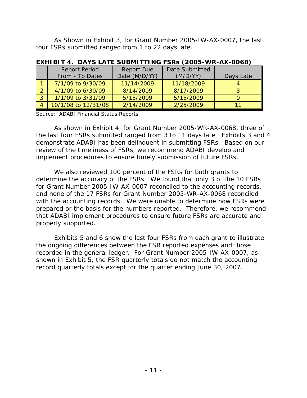As Shown in Exhibit 3, for Grant Number 2005-IW-AX-0007, the last four FSRs submitted ranged from 1 to 22 days late.

|                | <b>Report Period</b> | <b>Report Due</b> | Date Submitted |           |
|----------------|----------------------|-------------------|----------------|-----------|
|                | From - To Dates      | Date (M/D/YY)     | (M/D/YY)       | Days Late |
|                | 7/1/09 to 9/30/09    | 11/14/2009        | 11/18/2009     |           |
| C.             | 4/1/09 to 6/30/09    | 8/14/2009         | 8/17/2009      |           |
| $3^{\circ}$    | 1/1/09 to 3/31/09    | 5/15/2009         | 5/15/2009      |           |
| $\overline{4}$ | 10/1/08 to 12/31/08  | 2/14/2009         | 2/25/2009      |           |

**EXHIBIT 4. DAYS LATE SUBMITTING FSRs (2005-WR-AX-0068)** 

Source: ADABI Financial Status Reports

 the last four FSRs submitted ranged from 3 to 11 days late. Exhibits 3 and 4 As shown in Exhibit 4, for Grant Number 2005-WR-AX-0068, three of demonstrate ADABI has been delinquent in submitting FSRs. Based on our review of the timeliness of FSRs, we recommend ADABI develop and implement procedures to ensure timely submission of future FSRs.

 We also reviewed 100 percent of the FSRs for both grants to with the accounting records. We were unable to determine how FSRs were determine the accuracy of the FSRs. We found that only 3 of the 10 FSRs for Grant Number 2005-IW-AX-0007 reconciled to the accounting records, and none of the 17 FSRs for Grant Number 2005-WR-AX-0068 reconciled prepared or the basis for the numbers reported. Therefore, we recommend that ADABI implement procedures to ensure future FSRs are accurate and properly supported.

Exhibits 5 and 6 show the last four FSRs from each grant to illustrate the ongoing differences between the FSR reported expenses and those recorded in the general ledger. For Grant Number 2005-IW-AX-0007, as shown in Exhibit 5, the FSR quarterly totals do not match the accounting record quarterly totals except for the quarter ending June 30, 2007.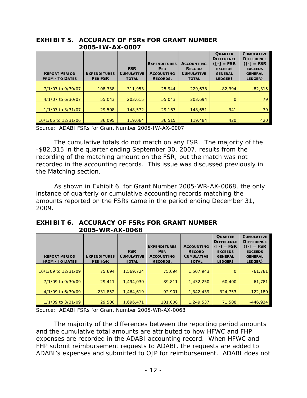|                        | 2000 IVV IVV OOOT   |                   |                                   |                                    |                                                                       |                                                                          |  |  |
|------------------------|---------------------|-------------------|-----------------------------------|------------------------------------|-----------------------------------------------------------------------|--------------------------------------------------------------------------|--|--|
|                        |                     | <b>FSR</b>        | <b>EXPENDITURES</b><br><b>PER</b> | <b>ACCOUNTING</b><br><b>RECORD</b> | <b>QUARTER</b><br><b>DIFFERENCE</b><br>$(I-I = FSR$<br><b>EXCEEDS</b> | <b>CUMULATIVE</b><br><b>DIFFERENCE</b><br>$(I-I = FSR$<br><b>EXCEEDS</b> |  |  |
| <b>REPORT PERIOD</b>   | <b>EXPENDITURES</b> | <b>CUMULATIVE</b> | <b>ACCOUNTING</b>                 | <b>CUMULATIVE</b>                  | <b>GENERAL</b>                                                        | <b>GENERAL</b>                                                           |  |  |
| <b>FROM - TO DATES</b> | <b>PER FSR</b>      | <b>TOTAL</b>      | <b>RECORDS.</b>                   | <b>TOTAL</b>                       | LEDGER)                                                               | LEDGER)                                                                  |  |  |
|                        |                     |                   |                                   |                                    |                                                                       |                                                                          |  |  |
| 7/1/07 to 9/30/07      | 108,338             | 311,953           | 25,944                            | 229,638                            | $-82,394$                                                             | $-82,315$                                                                |  |  |
| 4/1/07 to 6/30/07      | 55,043              | 203,615           | 55,043                            | 203,694                            | 0                                                                     | 79                                                                       |  |  |
| 1/1/07 to 3/31/07      | 29,508              | 148,572           | 29,167                            | 148.651                            | $-341$                                                                | 79                                                                       |  |  |
| 10/1/06 to 12/31/06    | 36.095              | 119,064           | 36,515                            | 119,484                            | 420                                                                   | 420                                                                      |  |  |

**EXHIBIT 5. ACCURACY OF FSRs FOR GRANT NUMBER 2005-IW-AX-0007** 

Source: ADABI FSRs for Grant Number 2005-IW-AX-0007

 the *Matching* section. The cumulative totals do not match on any FSR. The majority of the -\$82,315 in the quarter ending September 30, 2007, results from the recording of the matching amount on the FSR, but the match was not recorded in the accounting records. This issue was discussed previously in

As shown in Exhibit 6, for Grant Number 2005-WR-AX-0068, the only instance of quarterly or cumulative accounting records matching the amounts reported on the FSRs came in the period ending December 31, 2009.

### **EXHIBIT 6. ACCURACY OF FSRs FOR GRANT NUMBER 2005-WR-AX-0068**

|                |                                         | <b>EXPENDITURES</b>                                       | <b>ACCOUNTING</b>                                    | <b>QUARTER</b><br><b>DIFFERENCE</b><br>$(I-I = FSR$          | <b>CUMULATIVE</b><br><b>DIFFERENCE</b><br>$(I-I = FSR$ |
|----------------|-----------------------------------------|-----------------------------------------------------------|------------------------------------------------------|--------------------------------------------------------------|--------------------------------------------------------|
|                |                                         |                                                           |                                                      |                                                              | <b>EXCEEDS</b><br><b>GENERAL</b>                       |
| <b>PER FSR</b> | <b>TOTAL</b>                            | <b>RECORDS.</b>                                           | <b>TOTAL</b>                                         | LEDGER)                                                      | LEDGER)                                                |
|                |                                         |                                                           |                                                      |                                                              |                                                        |
| 75.694         | 1,569,724                               | 75.694                                                    | 1,507,943                                            | $\Omega$                                                     | $-61.781$                                              |
|                |                                         |                                                           |                                                      |                                                              | $-61,781$                                              |
|                |                                         |                                                           |                                                      |                                                              |                                                        |
| $-231.852$     | 1.464.619                               | 92.901                                                    | 1,342,439                                            | 324,753                                                      | $-122.180$                                             |
|                |                                         |                                                           |                                                      |                                                              | $-446.934$                                             |
|                | <b>EXPENDITURES</b><br>29.411<br>29,500 | <b>FSR</b><br><b>CUMULATIVE</b><br>1,494,030<br>1.696.471 | <b>PER</b><br><b>ACCOUNTING</b><br>89,811<br>101,008 | <b>RECORD</b><br><b>CUMULATIVE</b><br>1,432,250<br>1.249.537 | <b>EXCEEDS</b><br><b>GENERAL</b><br>60,400<br>71,508   |

Source: ADABI FSRs for Grant Number 2005-WR-AX-0068

The majority of the differences between the reporting period amounts and the cumulative total amounts are attributed to how HFWC and FHP expenses are recorded in the ADABI accounting record. When HFWC and FHP submit reimbursement requests to ADABI, the requests are added to ADABI's expenses and submitted to OJP for reimbursement. ADABI does not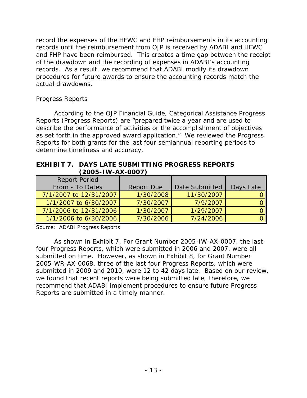records until the reimbursement from OJP is received by ADABI and HFWC record the expenses of the HFWC and FHP reimbursements in its accounting and FHP have been reimbursed. This creates a time gap between the receipt of the drawdown and the recording of expenses in ADABI's accounting records. As a result, we recommend that ADABI modify its drawdown procedures for future awards to ensure the accounting records match the actual drawdowns.

# *Progress Reports*

 as set forth in the approved award application." We reviewed the Progress According to the *OJP Financial Guide*, Categorical Assistance Progress Reports (Progress Reports) are "prepared twice a year and are used to describe the performance of activities or the accomplishment of objectives Reports for both grants for the last four semiannual reporting periods to determine timeliness and accuracy.

### **EXHIBIT 7. DAYS LATE SUBMITTING PROGRESS REPORTS (2005-IW-AX-0007)**

| <b>Report Period</b>   |                   |                |           |
|------------------------|-------------------|----------------|-----------|
| From - To Dates        | <b>Report Due</b> | Date Submitted | Days Late |
| 7/1/2007 to 12/31/2007 | 1/30/2008         | 11/30/2007     |           |
| 1/1/2007 to 6/30/2007  | 7/30/2007         | 7/9/2007       |           |
| 7/1/2006 to 12/31/2006 | 1/30/2007         | 1/29/2007      |           |
| 1/1/2006 to 6/30/2006  | 7/30/2006         | 7/24/2006      |           |

Source: ADABI Progress Reports

 submitted in 2009 and 2010, were 12 to 42 days late. Based on our review, Reports are submitted in a timely manner. As shown in Exhibit 7, For Grant Number 2005-IW-AX-0007, the last four Progress Reports, which were submitted in 2006 and 2007, were all submitted on time. However, as shown in Exhibit 8, for Grant Number 2005-WR-AX-0068, three of the last four Progress Reports, which were we found that recent reports were being submitted late; therefore, we recommend that ADABI implement procedures to ensure future Progress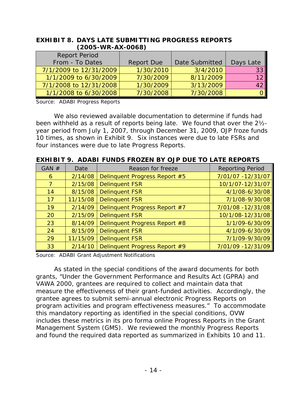| (ZUUJ-WK-AA-UUOO <i>)</i> |                   |                |                 |
|---------------------------|-------------------|----------------|-----------------|
| <b>Report Period</b>      |                   |                |                 |
| From - To Dates           | <b>Report Due</b> | Date Submitted | Days Late       |
| 7/1/2009 to 12/31/2009    | 1/30/2010         | 3/4/2010       | 33              |
| 1/1/2009 to 6/30/2009     | 7/30/2009         | 8/11/2009      | 12 <sub>1</sub> |
| 7/1/2008 to 12/31/2008    | 1/30/2009         | 3/13/2009      |                 |
| 1/1/2008 to 6/30/2008     | 7/30/2008         | 7/30/2008      |                 |

### **EXHIBIT 8. DAYS LATE SUBMITTING PROGRESS REPORTS (2005-WR-AX-0068)**

Source: ADABI Progress Reports

 been withheld as a result of reports being late. We found that over the 2½ We also reviewed available documentation to determine if funds had year period from July 1, 2007, through December 31, 2009, OJP froze funds 10 times, as shown in Exhibit 9. Six instances were due to late FSRs and four instances were due to late Progress Reports.

| GAN $#$ | Date     | Reason for freeze             | <b>Reporting Period</b> |
|---------|----------|-------------------------------|-------------------------|
| 6       | 2/14/08  | Delinquent Progress Report #5 | 7/01/07 - 12/31/07      |
| 7       | 2/15/08  | <b>Delinquent FSR</b>         | 10/1/07-12/31/07        |
| 14      | 8/15/08  | <b>Delinquent FSR</b>         | 4/1/08-6/30/08          |
| 17      | 11/15/08 | <b>Delinquent FSR</b>         | 7/1/08-9/30/08          |
| 19      | 2/14/09  | Delinquent Progress Report #7 | 7/01/08 - 12/31/08      |
| 20      | 2/15/09  | <b>Delinquent FSR</b>         | 10/1/08-12/31/08        |
| 23      | 8/14/09  | Delinquent Progress Report #8 | 1/1/09-6/30/09          |
| 24      | 8/15/09  | <b>Delinquent FSR</b>         | 4/1/09-6/30/09          |
| 29      | 11/15/09 | <b>Delinquent FSR</b>         | 7/1/09-9/30/09          |
| 33      | 2/14/10  | Delinquent Progress Report #9 | 7/01/09 -12/31/09       |

**EXHIBIT 9. ADABI FUNDS FROZEN BY OJP DUE TO LATE REPORTS** 

Source: ADABI Grant Adjustment Notifications

 grantee agrees to submit semi-annual electronic Progress Reports on program activities and program effectiveness measures." To accommodate Management System (GMS). We reviewed the monthly Progress Reports and found the required data reported as summarized in Exhibits 10 and 11. As stated in the special conditions of the award documents for both grants, "Under the Government Performance and Results Act (GPRA) and VAWA 2000, grantees are required to collect and maintain data that measure the effectiveness of their grant-funded activities. Accordingly, the this mandatory reporting as identified in the special conditions, OVW includes these metrics in its pro forma online Progress Reports in the Grant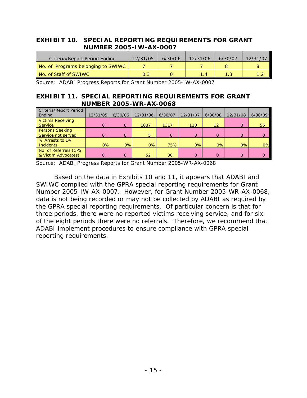## **EXHIBIT 10. SPECIAL REPORTING REQUIREMENTS FOR GRANT NUMBER 2005-IW-AX-0007**

| Criteria/Report Period Ending      | 12/31/05 | 6/30/06 | 12/31/06 | 6/30/07 | 12/31/07 |
|------------------------------------|----------|---------|----------|---------|----------|
| No. of Programs belonging to SWIWC |          |         |          |         |          |
| No. of Staff of SWIWC              | 0.3      |         | <b>4</b> |         |          |

Source: ADABI Progress Reports for Grant Number 2005-IW-AX-0007

### **EXHIBIT 11. SPECIAL REPORTING REQUIREMENTS FOR GRANT NUMBER 2005-WR-AX-0068**

| Criteria/Report Period<br>Ending             | 12/31/05 | 6/30/06  | 12/31/06 | 6/30/07  | 12/31/07 | 6/30/08           | 12/31/08 | 6/30/09  |
|----------------------------------------------|----------|----------|----------|----------|----------|-------------------|----------|----------|
| <b>Victims Receiving</b><br><b>Service</b>   | $\Omega$ | $\Omega$ | 1087     | 1317     | 110      | $12 \overline{ }$ | 0        | 56       |
| <b>Persons Seeking</b><br>Service not served | റ        | $\Omega$ | 5        | $\Omega$ | $\Omega$ | $\Omega$          | $\Omega$ | $\Omega$ |
| % Arrests to DV<br><b>Incidents</b>          | 0%       | 0%       | 0%       | 75%      | 0%       | 0%                | 0%       | 0%       |
| No. of Referrals (CPS<br>& Victim Advocates) | ი        | $\Omega$ | 52       | 30       | $\Omega$ | $\Omega$          | 0        | $\Omega$ |

Source: ADABI Progress Reports for Grant Number 2005-WR-AX-0068

 Number 2005-IW-AX-0007. However, for Grant Number 2005-WR-AX-0068, the GPRA special reporting requirements. Of particular concern is that for of the eight periods there were no referrals. Therefore, we recommend that Based on the data in Exhibits 10 and 11, it appears that ADABI and SWIWC complied with the GPRA special reporting requirements for Grant data is not being recorded or may not be collected by ADABI as required by three periods, there were no reported victims receiving service, and for six ADABI implement procedures to ensure compliance with GPRA special reporting requirements.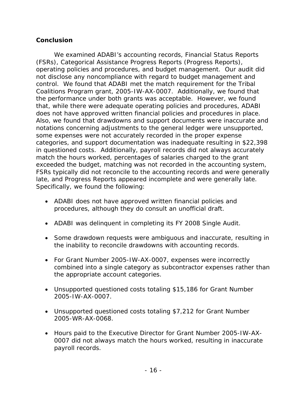# **Conclusion**

 We examined ADABI's accounting records, Financial Status Reports operating policies and procedures, and budget management. Our audit did control. We found that ADABI met the match requirement for the Tribal Coalitions Program grant, 2005-IW-AX-0007. Additionally, we found that does not have approved written financial policies and procedures in place. (FSRs), Categorical Assistance Progress Reports (Progress Reports), not disclose any noncompliance with regard to budget management and the performance under both grants was acceptable. However, we found that, while there were adequate operating policies and procedures, ADABI Also, we found that drawdowns and support documents were inaccurate and notations concerning adjustments to the general ledger were unsupported, some expenses were not accurately recorded in the proper expense categories, and support documentation was inadequate resulting in \$22,398 in questioned costs. Additionally, payroll records did not always accurately match the hours worked, percentages of salaries charged to the grant exceeded the budget, matching was not recorded in the accounting system, FSRs typically did not reconcile to the accounting records and were generally late, and Progress Reports appeared incomplete and were generally late. Specifically, we found the following:

- ADABI does not have approved written financial policies and procedures, although they do consult an unofficial draft.
- ADABI was delinquent in completing its FY 2008 Single Audit.
- Some drawdown requests were ambiguous and inaccurate, resulting in the inability to reconcile drawdowns with accounting records.
- For Grant Number 2005-IW-AX-0007, expenses were incorrectly combined into a single category as subcontractor expenses rather than the appropriate account categories.
- Unsupported questioned costs totaling \$15,186 for Grant Number 2005-IW-AX-0007.
- Unsupported questioned costs totaling \$7,212 for Grant Number 2005-WR-AX-0068.
- Hours paid to the Executive Director for Grant Number 2005-IW-AX-0007 did not always match the hours worked, resulting in inaccurate payroll records.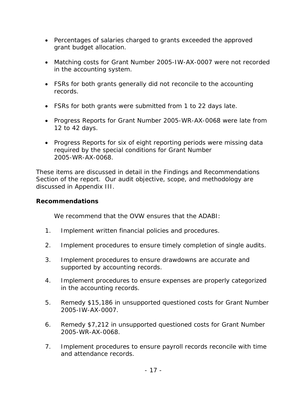- Percentages of salaries charged to grants exceeded the approved grant budget allocation.
- Matching costs for Grant Number 2005-IW-AX-0007 were not recorded in the accounting system.
- FSRs for both grants generally did not reconcile to the accounting records.
- FSRs for both grants were submitted from 1 to 22 days late.
- 12 to 42 days. • Progress Reports for Grant Number 2005-WR-AX-0068 were late from
- Progress Reports for six of eight reporting periods were missing data required by the special conditions for Grant Number 2005-WR-AX-0068.

These items are discussed in detail in the Findings and Recommendations Section of the report. Our audit objective, scope, and methodology are discussed in Appendix III.

# **Recommendations**

We recommend that the OVW ensures that the ADABI:

- 1. Implement written financial policies and procedures.
- 2. Implement procedures to ensure timely completion of single audits.
- 3. Implement procedures to ensure drawdowns are accurate and supported by accounting records.
- 4. Implement procedures to ensure expenses are properly categorized in the accounting records.
- 5. Remedy \$15,186 in unsupported questioned costs for Grant Number 2005-IW-AX-0007.
- 6. Remedy \$7,212 in unsupported questioned costs for Grant Number 2005-WR-AX-0068.
- 7. Implement procedures to ensure payroll records reconcile with time and attendance records.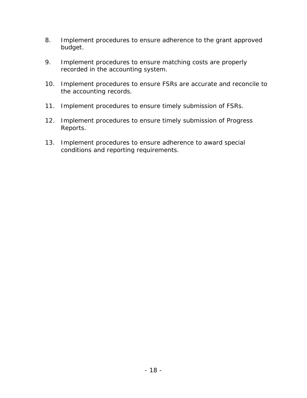- 8. Implement procedures to ensure adherence to the grant approved budget.
- 9. Implement procedures to ensure matching costs are properly recorded in the accounting system.
- 10. Implement procedures to ensure FSRs are accurate and reconcile to the accounting records.
- 11. Implement procedures to ensure timely submission of FSRs.
- 12. Implement procedures to ensure timely submission of Progress Reports.
- 13. Implement procedures to ensure adherence to award special conditions and reporting requirements.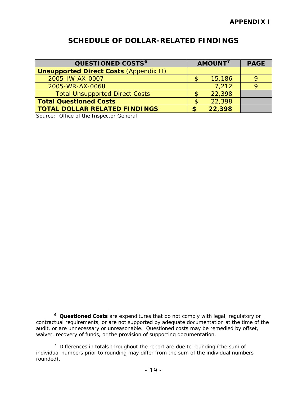# **SCHEDULE OF DOLLAR-RELATED FINDINGS**

| QUESTIONED COSTS <sup>6</sup>                 |   | AMOUNT <sup>7</sup> | <b>PAGE</b> |
|-----------------------------------------------|---|---------------------|-------------|
| <b>Unsupported Direct Costs (Appendix II)</b> |   |                     |             |
| 2005-IW-AX-0007                               |   | 15,186              |             |
| 2005-WR-AX-0068                               |   | 7,212               |             |
| <b>Total Unsupported Direct Costs</b>         |   | 22,398              |             |
| <b>Total Questioned Costs</b>                 |   | 22,398              |             |
| <b>TOTAL DOLLAR RELATED FINDINGS</b>          | S | 22,398              |             |

Source: Office of the Inspector General

 $\overline{a}$ 

<span id="page-24-0"></span> <sup>6</sup>**Questioned Costs** are expenditures that do not comply with legal, regulatory or contractual requirements, or are not supported by adequate documentation at the time of the audit, or are unnecessary or unreasonable. Questioned costs may be remedied by offset, waiver, recovery of funds, or the provision of supporting documentation.

<span id="page-24-1"></span> $7$  Differences in totals throughout the report are due to rounding (the sum of individual numbers prior to rounding may differ from the sum of the individual numbers rounded).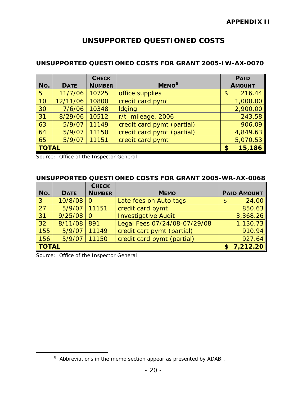# **UNSUPPORTED QUESTIONED COSTS**

## **UNSUPPORTED QUESTIONED COSTS FOR GRANT 2005-IW-AX-0070**

|              |             | <b>CHECK</b>  |                            | <b>PAID</b>   |
|--------------|-------------|---------------|----------------------------|---------------|
| No.          | <b>DATE</b> | <b>NUMBER</b> | MEMO <sup>8</sup>          | <b>AMOUNT</b> |
| 5            | 11/7/06     | 10725         | office supplies            | 216.44<br>\$  |
| 10           | 12/11/06    | 10800         | credit card pymt           | 1,000.00      |
| 30           | 7/6/06      | 10348         | Idging                     | 2,900.00      |
| 31           | 8/29/06     | 10512         | r/t mileage, 2006          | 243.58        |
| 63           | 5/9/07      | 11149         | credit card pymt (partial) | 906.09        |
| 64           | 5/9/07      | 11150         | credit card pymt (partial) | 4,849.63      |
| 65           | 5/9/07      | 11151         | credit card pymt           | 5,070.53      |
| <b>TOTAL</b> |             |               |                            | 15,186<br>\$  |

Source: Office of the Inspector General

### **UNSUPPORTED QUESTIONED COSTS FOR GRANT 2005-WR-AX-0068**

|              |             | <b>CHECK</b>  |                              |                    |
|--------------|-------------|---------------|------------------------------|--------------------|
| No.          | <b>DATE</b> | <b>NUMBER</b> | <b>MEMO</b>                  | <b>PAID AMOUNT</b> |
| $\sqrt{3}$   | 10/8/08     | $\Omega$      | Late fees on Auto tags       | 24.00<br>\$        |
| 27           | 5/9/07      | 11151         | credit card pymt             | 850.63             |
| 31           | 9/25/08     | <sup>0</sup>  | <b>Investigative Audit</b>   | 3,368.26           |
| 32           | 8/11/08     | 891           | Legal Fees 07/24/08-07/29/08 | 1,130.73           |
| 155          | 5/9/07      | 11149         | credit cart pymt (partial)   | 910.94             |
| 156          | 5/9/07      | 11150         | credit card pymt (partial)   | 927.64             |
| <b>TOTAL</b> |             |               | \$7,212.20                   |                    |

Source: Office of the Inspector General

<span id="page-25-0"></span> $\overline{a}$ 

 $8$  Abbreviations in the memo section appear as presented by ADABI.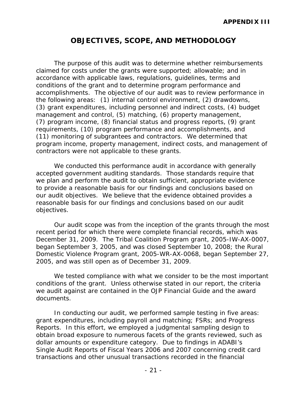# **OBJECTIVES, SCOPE, AND METHODOLOGY**

 accomplishments. The objective of our audit was to review performance in the following areas: (1) internal control environment, (2) drawdowns, (11) monitoring of subgrantees and contractors. We determined that The purpose of this audit was to determine whether reimbursements claimed for costs under the grants were supported; allowable; and in accordance with applicable laws, regulations, guidelines, terms and conditions of the grant and to determine program performance and (3) grant expenditures, including personnel and indirect costs, (4) budget management and control, (5) matching, (6) property management, (7) program income, (8) financial status and progress reports, (9) grant requirements, (10) program performance and accomplishments, and program income, property management, indirect costs, and management of contractors were not applicable to these grants.

 reasonable basis for our findings and conclusions based on our audit We conducted this performance audit in accordance with generally accepted government auditing standards. Those standards require that we plan and perform the audit to obtain sufficient, appropriate evidence to provide a reasonable basis for our findings and conclusions based on our audit objectives. We believe that the evidence obtained provides a objectives.

 December 31, 2009. The Tribal Coalition Program grant, 2005-IW-AX-0007, began September 3, 2005, and was closed September 10, 2008; the Rural Our audit scope was from the inception of the grants through the most recent period for which there were complete financial records, which was Domestic Violence Program grant, 2005-WR-AX-0068, began September 27, 2005, and was still open as of December 31, 2009.

 conditions of the grant. Unless otherwise stated in our report, the criteria We tested compliance with what we consider to be the most important we audit against are contained in the *OJP Financial Guide* and the award documents.

 grant expenditures, including payroll and matching; FSRs; and Progress dollar amounts or expenditure category. Due to findings in ADABI's Single Audit Reports of Fiscal Years 2006 and 2007 concerning credit card In conducting our audit, we performed sample testing in five areas: Reports. In this effort, we employed a judgmental sampling design to obtain broad exposure to numerous facets of the grants reviewed, such as transactions and other unusual transactions recorded in the financial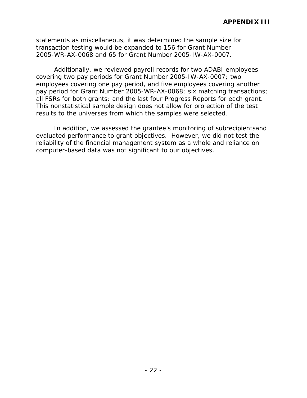statements as miscellaneous, it was determined the sample size for transaction testing would be expanded to 156 for Grant Number 2005-WR-AX-0068 and 65 for Grant Number 2005-IW-AX-0007.

all FSRs for both grants; and the last four Progress Reports for each grant. Additionally, we reviewed payroll records for two ADABI employees covering two pay periods for Grant Number 2005-IW-AX-0007; two employees covering one pay period, and five employees covering another pay period for Grant Number 2005-WR-AX-0068; six matching transactions; This nonstatistical sample design does not allow for projection of the test results to the universes from which the samples were selected.

 evaluated performance to grant objectives. However, we did not test the In addition, we assessed the grantee's monitoring of subrecipientsand reliability of the financial management system as a whole and reliance on computer-based data was not significant to our objectives.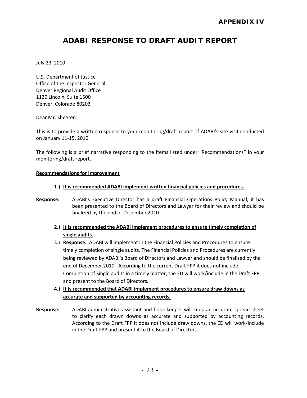# **ADABI RESPONSE TO DRAFT AUDIT REPORT**

July 23, 2010

U.S. Department of Justice Office of the Inspector General Denver Regional Audit Office 1120 Lincoln, Suite 1500 Denver, Colorado 80203

Dear Mr. Sheeren:

This is to provide a written response to your monitoring/draft report of ADABI's site visit conducted on January 11-15, 2010.

The following is a brief narrative responding to the items listed under "Recommendations" in your monitoring/draft report.

#### **Recommendations for Improvement**

- **1.) It is recommended ADABI implement written financial policies and procedures.**
- **Response:** ADABI's Executive Director has a draft Financial Operations Policy Manual, it has been presented to the Board of Directors and Lawyer for their review and should be finalized by the end of December 2010.
	- **2.) It is recommended the ADABI implement procedures to ensure timely completion of single audits.**
	- 3.) **Response:** ADABI will implement in the Financial Policies and Procedures to ensure being reviewed by ADABI's Board of Directors and Lawyer and should be finalized by the end of December 2010. According to the current Draft FPP it does not include timely completion of single audits. The Financial Policies and Procedures are currently Completion of Single audits in a timely matter, the ED will work/include in the Draft FPP and present to the Board of Directors.
	- **4.) It is recommended that ADABI implement procedures to ensure draw downs as accurate and supported by accounting records.**
- **Response:** ADABI administrative assistant and book keeper will keep an accurate spread sheet to clarify each drawn downs as accurate and supported by accounting records. According to the Draft FPP it does not include draw downs, the ED will work/include in the Draft FPP and present it to the Board of Directors.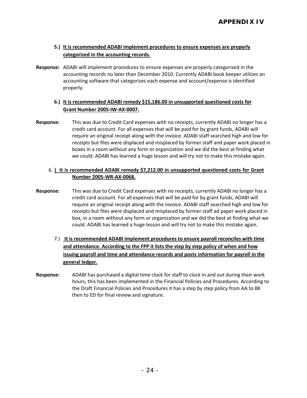### **5.) It is recommended ADABI implement procedures to ensure expenses are properly categorized in the accounting records.**

 **Response:** ADABI will implement procedures to ensure expenses are properly categorized in the accounting records no later than December 2010. Currently ADABI book keeper utilizes an accounting software that categorizes each expense and account/expense is identified properly.

### 6.) It is recommended ADABI remedy \$15,186.00 in unsupported questioned costs for **Grant Number 2005-IW-AX-0007.**

 require an original receipt along with the invoice. ADABI staff searched high and low for boxes in a room without any form or organization and we did the best at finding what we could. ADABI has learned a huge lesson and will try not to make this mistake again. **Response:** This was due to Credit Card expenses with no receipts, currently ADABI no longer has a credit card account. For all expenses that will be paid for by grant funds, ADABI will receipts but files were displaced and misplaced by former staff and paper work placed in

#### 6. **It is recommended ADABI remedy \$7,212.00 in unsupported questioned costs for Grant Number 2005-WR-AX-0068.**

- require an original receipt along with the invoice. ADABI staff searched high and low for box, in a room without any form or organization and we did the best at finding what we could. ADABI has learned a huge lesson and will try not to make this mistake again. **Response:** This was due to Credit Card expenses with no receipts, currently ADABI no longer has a credit card account. For all expenses that will be paid for by grant funds, ADABI will receipts but files were displaced and misplaced by former staff ad paper work placed in
	- **and attendance. According to the FPP it lists the step by step policy of when and how**  7.) **It is recommended ADABI implement procedures to ensure payroll reconciles with time issuing payroll and time and attendance records and posts information for payroll in the general ledger.**
- then to ED for final review and signature. **Response:** ADABI has purchased a digital time clock for staff to clock in and out during their work hours, this has been implemented in the Financial Policies and Procedures. According to the Draft Financial Policies and Procedures it has a step by step policy from AA to BK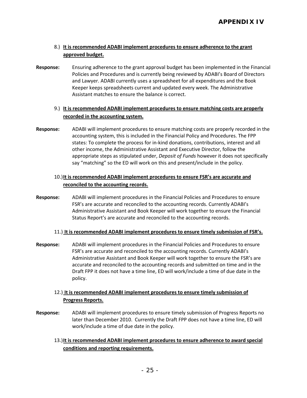### 8.) It is recommended ADABI implement procedures to ensure adherence to the grant **approved budget.**

Response: Ensuring adherence to the grant approval budget has been implemented in the Financial Policies and Procedures and is currently being reviewed by ADABI's Board of Directors and Lawyer. ADABI currently uses a spreadsheet for all expenditures and the Book Keeper keeps spreadsheets current and updated every week. The Administrative Assistant matches to ensure the balance is correct.

### 9.) **It is recommended ADABI implement procedures to ensure matching costs are properly recorded in the accounting system.**

 **Response:** ADABI will implement procedures to ensure matching costs are properly recorded in the accounting system, this is included in the Financial Policy and Procedures. The FPP say "matching" so the ED will work on this and present/include in the policy. states: To complete the process for in-kind donations, contributions, interest and all other income, the Administrative Assistant and Executive Director, follow the appropriate steps as stipulated under, *Deposit of Funds* however it does not specifically

### 10.) **It is recommended ADABI implement procedures to ensure FSR's are accurate and**  reconciled to the accounting records.

**reconciled to the accounting records.**<br>**Response:** ADABI will implement procedures in the Financial Policies and Procedures to ensure Administrative Assistant and Book Keeper will work together to ensure the Financial FSR's are accurate and reconciled to the accounting records. Currently ADABI's Status Report's are accurate and reconciled to the accounting records.

#### 11.) **It is recommended ADABI implement procedures to ensure timely submission of FSR's.**

 Administrative Assistant and Book Keeper will work together to ensure the FSR's are accurate and reconciled to the accounting records and submitted on time and in the Draft FPP it does not have a time line, ED will work/include a time of due date in the policy. **Response:** ADABI will implement procedures in the Financial Policies and Procedures to ensure FSR's are accurate and reconciled to the accounting records. Currently ADABI's

### 12.) It is recommended ADABI implement procedures to ensure timely submission of **Progress Reports.**

- **Response:** ADABI will implement procedures to ensure timely submission of Progress Reports no later than December 2010. Currently the Draft FPP does not have a time line, ED will work/include a time of due date in the policy.
	- 13.)**It is recommended ADABI implement procedures to ensure adherence to award special conditions and reporting requirements.**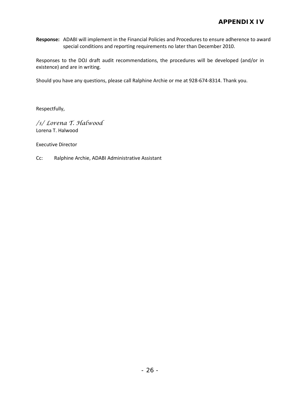special conditions and reporting requirements no later than December 2010. special conditions and reporting requirements no later than December 2010. Responses to the DOJ draft audit recommendations, the procedures will be developed (and/or in **Response:** ADABI will implement in the Financial Policies and Procedures to ensure adherence to award

existence) and are in writing.

Should you have any questions, please call Ralphine Archie or me at 928-674-8314. Thank you.

Respectfully,

*/s/ Lorena T. Halwood*  Lorena T. Halwood

Executive Director

Cc: Ralphine Archie, ADABI Administrative Assistant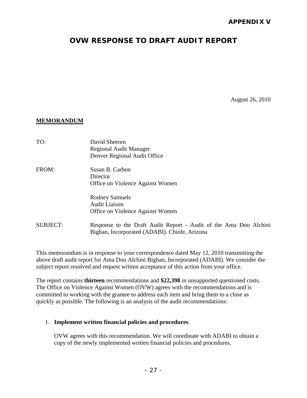# **OVW RESPONSE TO DRAFT AUDIT REPORT**

August 26, 2010

#### **MEMORANDUM**

| TO:             | David Sheeren<br><b>Regional Audit Manager</b><br>Denver Regional Audit Office                                     |
|-----------------|--------------------------------------------------------------------------------------------------------------------|
| FROM:           | Susan B. Carbon<br>Director<br>Office on Violence Against Women                                                    |
|                 | <b>Rodney Samuels</b><br><b>Audit Liaison</b><br>Office on Violence Against Women                                  |
| <b>SUBJECT:</b> | Response to the Draft Audit Report - Audit of the Ama Doo Alchini<br>Bighan, Incorporated (ADABI). Chinle, Arizona |

 subject report resolved and request written acceptance of this action from your office. This memorandum is in response to your correspondence dated May 12, 2010 transmitting the above draft audit report for Ama Doo Alchini Bighan, Incorporated (ADABI). We consider the

 The report contains **thirteen** recommendations and **\$22,398** in unsupported questioned costs. The Office on Violence Against Women (OVW) agrees with the recommendations and is committed to working with the grantee to address each item and bring them to a close as quickly as possible. The following is an analysis of the audit recommendations:

#### 1. **Implement written financial policies and procedures**.

OVW agrees with this recommendation. We will coordinate with ADABI to obtain a copy of the newly implemented written financial policies and procedures.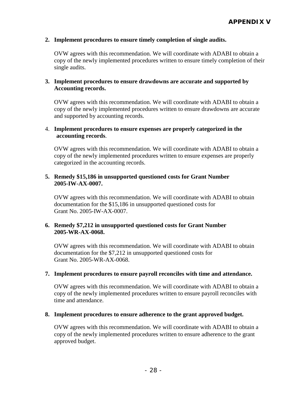#### **2. Implement procedures to ensure timely completion of single audits.**

OVW agrees with this recommendation. We will coordinate with ADABI to obtain a copy of the newly implemented procedures written to ensure timely completion of their single audits.

### **3. Implement procedures to ensure drawdowns are accurate and supported by Accounting records.**

OVW agrees with this recommendation. We will coordinate with ADABI to obtain a copy of the newly implemented procedures written to ensure drawdowns are accurate and supported by accounting records.

#### 4. **Implement procedures to ensure expenses are properly categorized in the accounting records**.

OVW agrees with this recommendation. We will coordinate with ADABI to obtain a copy of the newly implemented procedures written to ensure expenses are properly categorized in the accounting records.

### **5. Remedy \$15,186 in unsupported questioned costs for Grant Number 2005-IW-AX-0007.**

OVW agrees with this recommendation. We will coordinate with ADABI to obtain documentation for the \$15,186 in unsupported questioned costs for Grant No. 2005-IW-AX-0007.

### **6. Remedy \$7,212 in unsupported questioned costs for Grant Number 2005-WR-AX-0068.**

 documentation for the \$7,212 in unsupported questioned costs for Grant No. 2005-WR-AX-0068. OVW agrees with this recommendation. We will coordinate with ADABI to obtain

#### **7. Implement procedures to ensure payroll reconciles with time and attendance.**

OVW agrees with this recommendation. We will coordinate with ADABI to obtain a copy of the newly implemented procedures written to ensure payroll reconciles with time and attendance.

#### **8. Implement procedures to ensure adherence to the grant approved budget.**

OVW agrees with this recommendation. We will coordinate with ADABI to obtain a copy of the newly implemented procedures written to ensure adherence to the grant approved budget.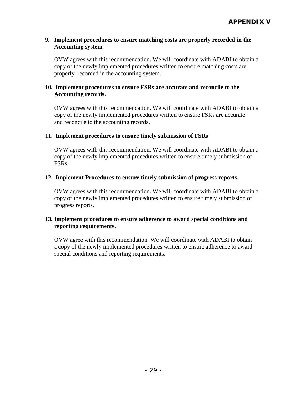### **9. Implement procedures to ensure matching costs are properly recorded in the Accounting system.**

OVW agrees with this recommendation. We will coordinate with ADABI to obtain a copy of the newly implemented procedures written to ensure matching costs are properly recorded in the accounting system.

### **10. Implement procedures to ensure FSRs are accurate and reconcile to the Accounting records.**

OVW agrees with this recommendation. We will coordinate with ADABI to obtain a copy of the newly implemented procedures written to ensure FSRs are accurate and reconcile to the accounting records.

### 11. **Implement procedures to ensure timely submission of FSRs**.

 OVW agrees with this recommendation. We will coordinate with ADABI to obtain a copy of the newly implemented procedures written to ensure timely submission of FSRs.

### **12. Implement Procedures to ensure timely submission of progress reports.**

 OVW agrees with this recommendation. We will coordinate with ADABI to obtain a copy of the newly implemented procedures written to ensure timely submission of progress reports.

### **13. Implement procedures to ensure adherence to award special conditions and reporting requirements.**

OVW agree with this recommendation. We will coordinate with ADABI to obtain a copy of the newly implemented procedures written to ensure adherence to award special conditions and reporting requirements.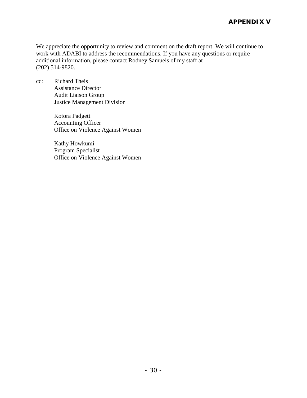work with ADABI to address the recommendations. If you have any questions or require We appreciate the opportunity to review and comment on the draft report. We will continue to additional information, please contact Rodney Samuels of my staff at (202) 514-9820.

cc: Richard Theis Assistance Director Audit Liaison Group Justice Management Division

> Kotora Padgett Accounting Officer Office on Violence Against Women

> Kathy Howkumi Program Specialist Office on Violence Against Women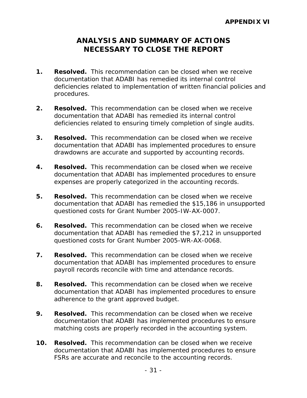# **ANALYSIS AND SUMMARY OF ACTIONS NECESSARY TO CLOSE THE REPORT**

- **1.** Resolved. This recommendation can be closed when we receive documentation that ADABI has remedied its internal control deficiencies related to implementation of written financial policies and procedures.
- **2. Resolved.** This recommendation can be closed when we receive documentation that ADABI has remedied its internal control deficiencies related to ensuring timely completion of single audits.
- **3. Resolved.** This recommendation can be closed when we receive documentation that ADABI has implemented procedures to ensure drawdowns are accurate and supported by accounting records.
- **4. Resolved.** This recommendation can be closed when we receive documentation that ADABI has implemented procedures to ensure expenses are properly categorized in the accounting records.
- 5. Resolved. This recommendation can be closed when we receive documentation that ADABI has remedied the \$15,186 in unsupported questioned costs for Grant Number 2005-IW-AX-0007.
- **6. Resolved.** This recommendation can be closed when we receive questioned costs for Grant Number 2005-WR-AX-0068. documentation that ADABI has remedied the \$7,212 in unsupported
- **7.** Resolved. This recommendation can be closed when we receive documentation that ADABI has implemented procedures to ensure payroll records reconcile with time and attendance records.
- **8. Resolved.** This recommendation can be closed when we receive documentation that ADABI has implemented procedures to ensure adherence to the grant approved budget.
- **9.** Resolved. This recommendation can be closed when we receive documentation that ADABI has implemented procedures to ensure matching costs are properly recorded in the accounting system.
- **10.** Resolved. This recommendation can be closed when we receive documentation that ADABI has implemented procedures to ensure FSRs are accurate and reconcile to the accounting records.